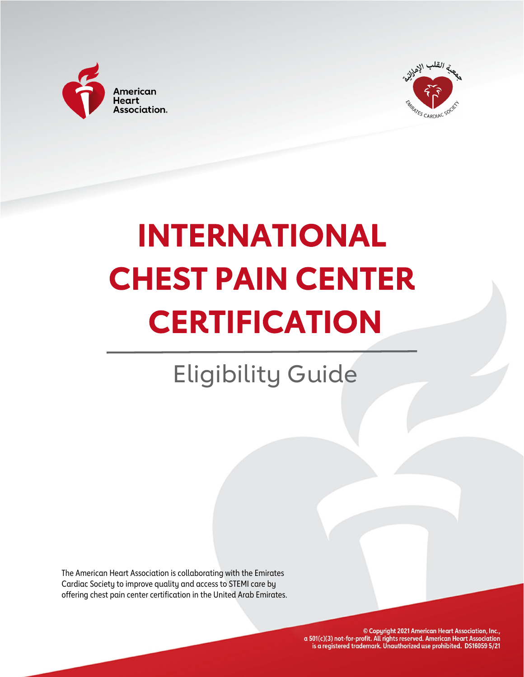



# **INTERNATIONAL CHEST PAIN CENTER CERTIFICATION**

# Eligibility Guide

The American Heart Association is collaborating with the Emirates Cardiac Society to improve quality and access to STEMI care by offering chest pain center certification in the United Arab Emirates.

> © Copyright 2021 American Heart Association, Inc., a 501(c)(3) not-for-profit. All rights reserved. American Heart Association is a registered trademark. Unauthorized use prohibited. DS16059 5/21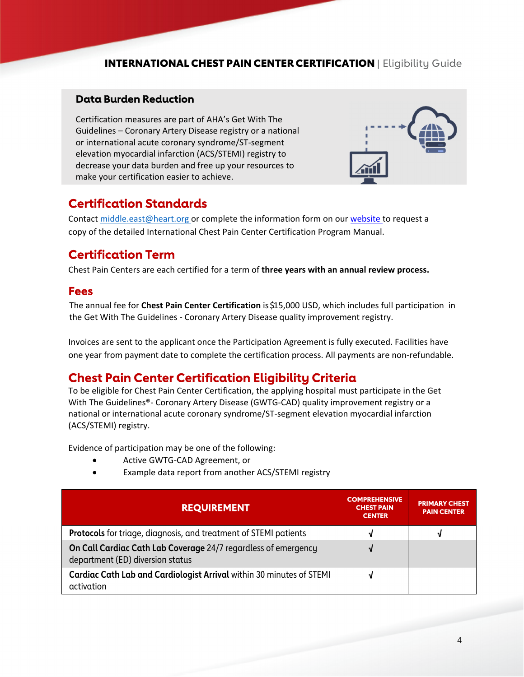### **Data Burden Reduction**

 Certification measures are part of AHA's Get With The Guidelines – Coronary Artery Disease registry or a national or international acute coronary syndrome/ST‐segment elevation myocardial infarction (ACS/STEMI) registry to decrease your data burden and free up your resources to make your certification easier to achieve.



# **Certification Standards**

Contact [middle.east@heart.org](mailto:middle.east@heart.org) or complete the information form on our [website](https://www.heart.org/en/professional/quality-improvement/international) to request a copy of the detailed International Chest Pain Center Certification Program Manual.

# **Certification Term**

 Chest Pain Centers are each certified for a term of **three years with an annual review process.**

#### **Fees**

  The annual fee for **Chest Pain Center Certification** is\$15,000 USD, which includes full participation in the Get With The Guidelines ‐ Coronary Artery Disease quality improvement registry.

 Invoices are sent to the applicant once the Participation Agreement is fully executed. Facilities have one year from payment date to complete the certification process. All payments are non‐refundable.

# **Chest Pain Center Certification Eligibility Criteria**

 To be eligible for Chest Pain Center Certification, the applying hospital must participate in the Get With The Guidelines®- Coronary Artery Disease (GWTG-CAD) quality improvement registry or a national or international acute coronary syndrome/ST‐segment elevation myocardial infarction (ACS/STEMI) registry.

Evidence of participation may be one of the following:

- Active GWTG-CAD Agreement, or
- Example data report from another ACS/STEMI registry

| <b>REQUIREMENT</b>                                                                                 | <b>COMPREHENSIVE</b><br><b>CHEST PAIN</b><br><b>CENTER</b> | <b>PRIMARY CHEST</b><br><b>PAIN CENTER</b> |
|----------------------------------------------------------------------------------------------------|------------------------------------------------------------|--------------------------------------------|
| <b>Protocols</b> for triage, diagnosis, and treatment of STEMI patients                            |                                                            |                                            |
| On Call Cardiac Cath Lab Coverage 24/7 regardless of emergency<br>department (ED) diversion status |                                                            |                                            |
| Cardiac Cath Lab and Cardiologist Arrival within 30 minutes of STEMI<br>activation                 |                                                            |                                            |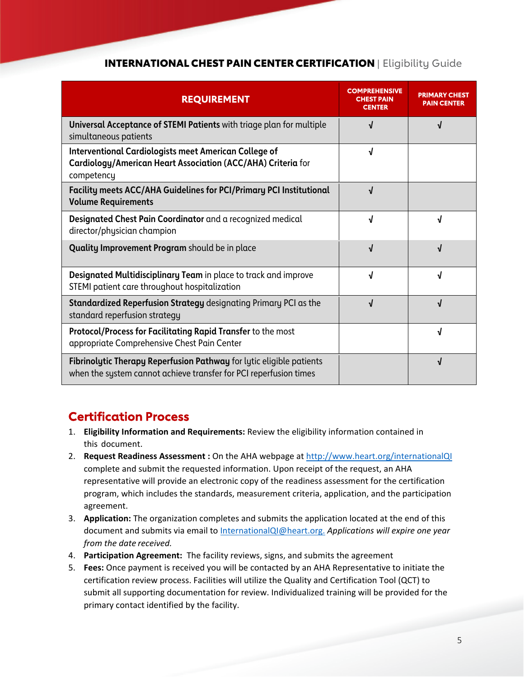| <b>REQUIREMENT</b>                                                                                                                         | COMPREHENSIVE<br>CENTER | PAIN CENTER |
|--------------------------------------------------------------------------------------------------------------------------------------------|-------------------------|-------------|
| Universal Acceptance of STEMI Patients with triage plan for multiple<br>simultaneous patients                                              |                         |             |
| <b>Interventional Cardiologists meet American College of</b><br>Cardiology/American Heart Association (ACC/AHA) Criteria for<br>competency | ٦I                      |             |
| Facility meets ACC/AHA Guidelines for PCI/Primary PCI Institutional<br><b>Volume Requirements</b>                                          | J                       |             |
| Designated Chest Pain Coordinator and a recognized medical<br>director/physician champion                                                  | J                       |             |
| <b>Quality Improvement Program</b> should be in place                                                                                      | J                       |             |
| Designated Multidisciplinary Team in place to track and improve<br>STEMI patient care throughout hospitalization                           |                         |             |
| <b>Standardized Reperfusion Strategy designating Primary PCI as the</b><br>standard reperfusion strategy                                   |                         |             |
| <b>Protocol/Process for Facilitating Rapid Transfer to the most</b><br>appropriate Comprehensive Chest Pain Center                         |                         |             |
| Fibrinolytic Therapy Reperfusion Pathway for lytic eligible patients<br>when the system cannot achieve transfer for PCI reperfusion times  |                         |             |

# **Certification Process**

- 1. **Eligibility Information and Requirements:** Review the eligibility information contained in this document.
- 2. **Request Readiness Assessment :** On the AHA webpage at [http://www.heart.org/internationalQI](https://www.heart.org/en/professional/quality-improvement/international) complete and submit the requested information. Upon receipt of the request, an AHA representative will provide an electronic copy of the readiness assessment for the certification program, which includes the standards, measurement criteria, application, and the participation agreement.
- 3. **Application:** The organization completes and submits the application located at the end of this  document and submits via email to [InternationalQI@heart.org](mailto:InternationalQI@heart.org). *Applications will expire one year from the date received.*
- 4. **Participation Agreement:** The facility reviews, signs, and submits the agreement
- 5. **Fees:** Once payment is received you will be contacted by an AHA Representative to initiate the certification review process. Facilities will utilize the Quality and Certification Tool (QCT) to submit all supporting documentation for review. Individualized training will be provided for the primary contact identified by the facility.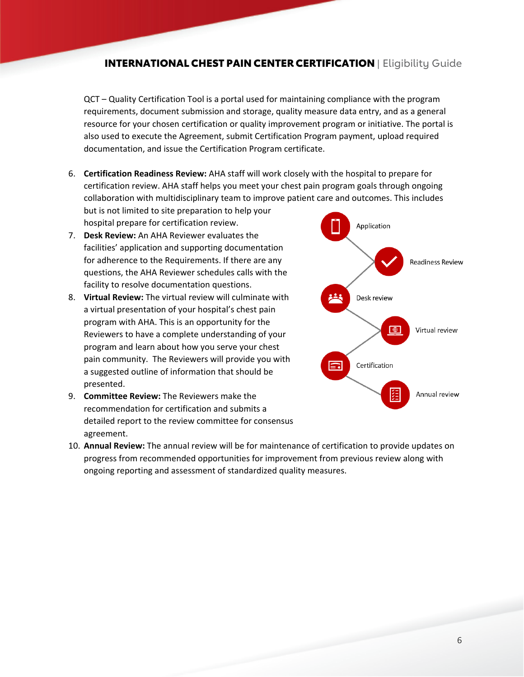QCT – Quality Certification Tool is a portal used for maintaining compliance with the program requirements, document submission and storage, quality measure data entry, and as a general resource for your chosen certification or quality improvement program or initiative. The portal is also used to execute the Agreement, submit Certification Program payment, upload required documentation, and issue the Certification Program certificate.

 6. **Certification Readiness Review:** AHA staff will work closely with the hospital to prepare for certification review. AHA staff helps you meet your chest pain program goals through ongoing collaboration with multidisciplinary team to improve patient care and outcomes. This includes

 but is not limited to site preparation to help your hospital prepare for certification review.

- 7. **Desk Review:** An AHA Reviewer evaluates the facilities' application and supporting documentation for adherence to the Requirements. If there are any questions, the AHA Reviewer schedules calls with the facility to resolve documentation questions.
- 8. **Virtual Review:** The virtual review will culminate with a virtual presentation of your hospital's chest pain program with AHA. This is an opportunity for the Reviewers to have a complete understanding of your program and learn about how you serve your chest pain community. The Reviewers will provide you with a suggested outline of information that should be presented.
- 9. **Committee Review:** The Reviewers make the recommendation for certification and submits a detailed report to the review committee for consensus agreement.
- 10. **Annual Review:** The annual review will be for maintenance of certification to provide updates on progress from recommended opportunities for improvement from previous review along with ongoing reporting and assessment of standardized quality measures.